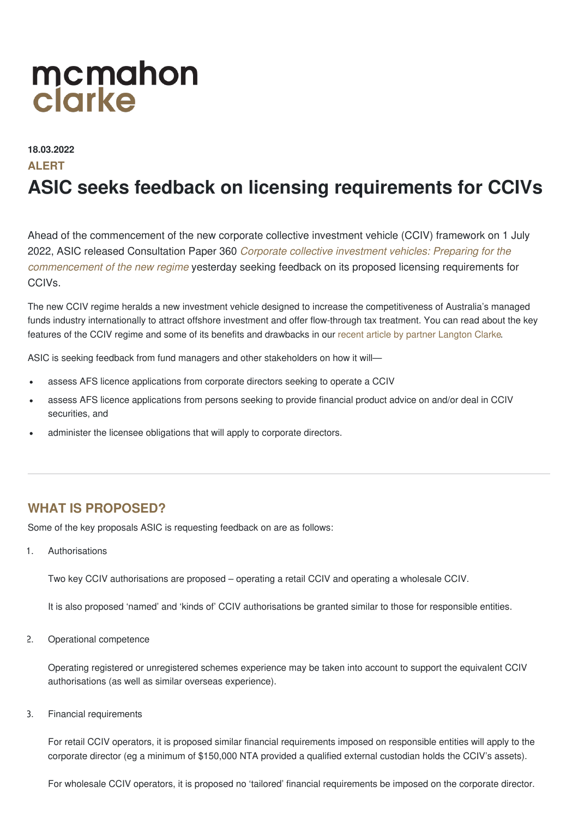# mcmahon clarke

### **18.03.2022**

### **ALERT**

## **ASIC seeks feedback on licensing requirements for CCIVs**

Ahead of the commencement of the new corporate collective investment vehicle (CCIV) framework on 1 July 2022, ASIC released Consultation Paper 360 *Corporate collective investment vehicles: Preparing for the [commencement](https://asic.gov.au/regulatory-resources/find-a-document/consultation-papers/cp-360-corporate-collective-investment-vehicles-preparing-for-the-commencement-of-the-new-regime/) of the new regime* yesterday seeking feedback on its proposed licensing requirements for CCIVs.

The new CCIV regime heralds a new investment vehicle designed to increase the competitiveness of Australia's managed funds industry internationally to attract offshore investment and offer flow-through tax treatment. You can read about the key features of the CCIV regime and some of its benefits and drawbacks in our recent article by partner [Langton](https://www.mcmahonclarke.com/articles/are-you-planning-new-cciv-regime) Clarke.

ASIC is seeking feedback from fund managers and other stakeholders on how it will—

- assess AFS licence applications from corporate directors seeking to operate a CCIV
- assess AFS licence applications from persons seeking to provide financial product advice on and/or deal in CCIV securities, and
- administer the licensee obligations that will apply to corporate directors.

### **WHAT IS PROPOSED?**

Some of the key proposals ASIC is requesting feedback on are as follows:

1. Authorisations

Two key CCIV authorisations are proposed – operating a retail CCIV and operating a wholesale CCIV.

It is also proposed 'named' and 'kinds of' CCIV authorisations be granted similar to those for responsible entities.

2. Operational competence

Operating registered or unregistered schemes experience may be taken into account to support the equivalent CCIV authorisations (as well as similar overseas experience).

3. Financial requirements

For retail CCIV operators, it is proposed similar financial requirements imposed on responsible entities will apply to the corporate director (eg a minimum of \$150,000 NTA provided a qualified external custodian holds the CCIV's assets).

For wholesale CCIV operators, it is proposed no 'tailored' financial requirements be imposed on the corporate director.